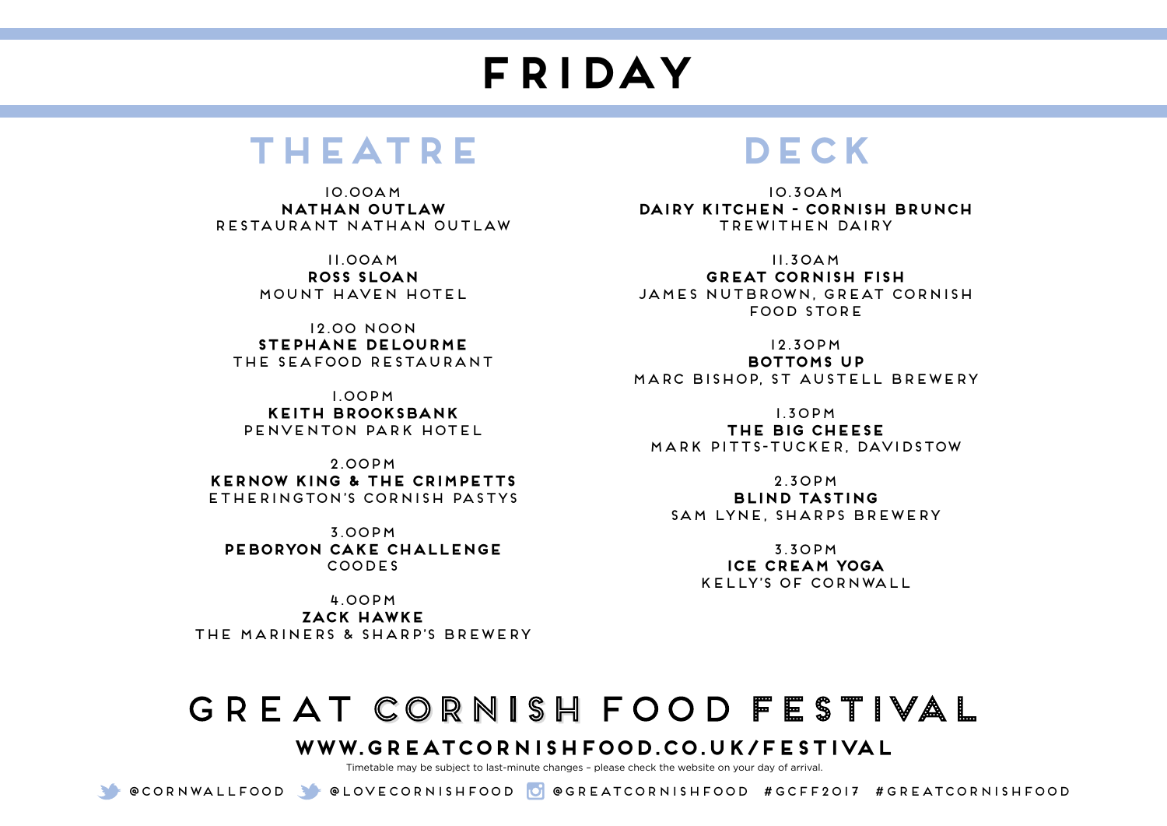# **FRIDAY**

#### **Theatre**

10.00am **Nathan Outlaw**  Restaurant Nathan Outlaw

> 11.00am **Ross Sloan** Mount Haven Hotel

12.00 noon **Stephane Delourme** The Seafood Restaurant

1.00pm **Keith Brooksbank** Penventon Park Hotel

2.00pm **Kernow King & The Crimpetts** Etherington's Cornish Pastys

3.00pm **Peboryon Cake Challenge** coodes

4.00pm **Zack Hawke** The Mariners & Sharp's Brewery

## **DECK**

10.30am **Dairy Kitchen - Cornish Brunch** Trewithen Dairy

11.30am **Great Cornish fish** James Nutbrown, Great Cornish Food Store

12.30pm **Bottoms Up** Marc Bishop, St Austell Brewery

1.30pm

**The Big Cheese** Mark Pitts-Tucker, Davidstow

2.30pm **Blind Tasting** Sam Lyne, Sharps Brewery

> 3.30pm **Ice Cream Yoga** Kelly's of Cornwall

## GREAT CORNISH FOOD FESTIVAL

#### **www.greatcornishfood.co.uk/festival**

Timetable may be subject to last-minute changes – please check the website on your day of arrival.

@Cornwallfood @loveCornishfood @greatcornishfood #GCFF2017 #GREATCORNISHFOOD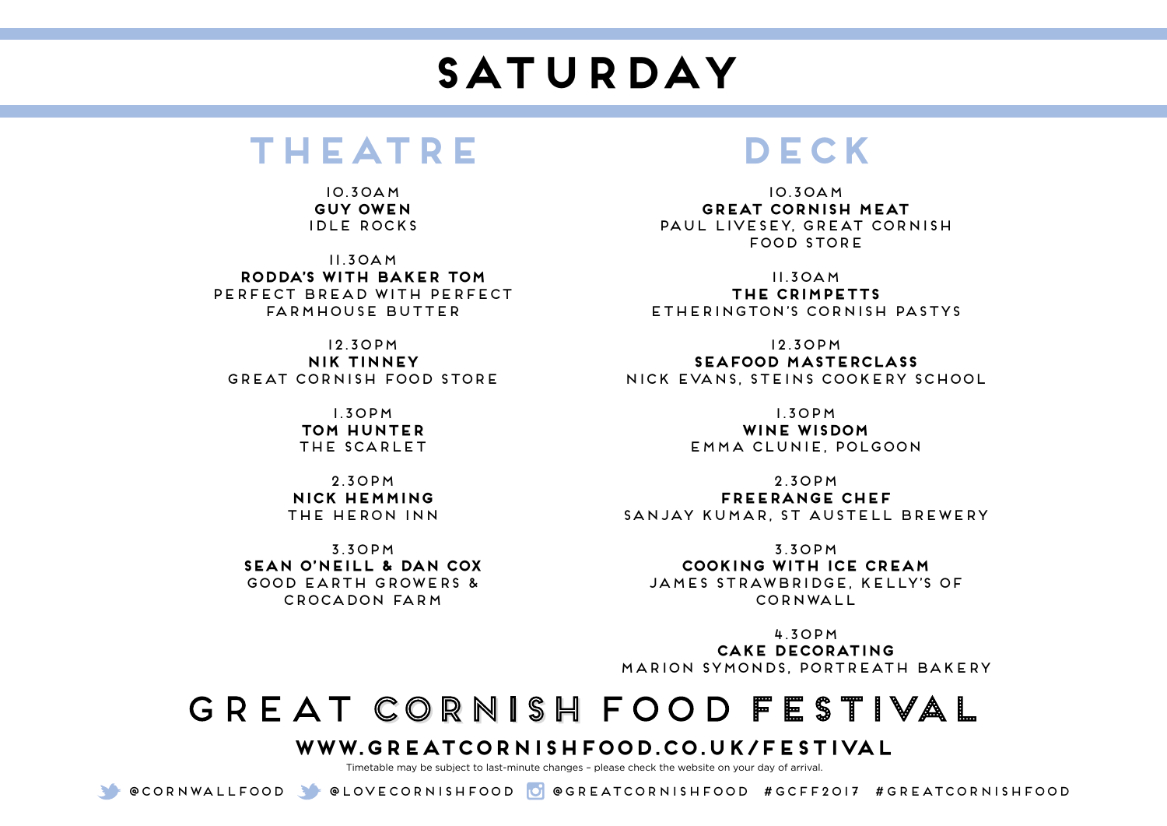# **SATURDAY**

#### **Theatre**

10.30am **Guy Owen**  Idle Rocks

11.30am **Rodda's with Baker Tom** Perfect Bread with Perfect Farmhouse Butter

12.30pm **Nik Tinney**  Great Cornish Food Store

> 1.30pm **Tom Hunter** THE SCARLET

2.30pm **Nick Hemming** The Heron Inn

3.30pm **Sean O'Neill & Dan Cox** Good Earth Growers & Crocadon Farm

## **DECK**

10.30am **Great Cornish meat** Paul Livesey, Great Cornish Food Store

11.30am **The Crimpetts** Etherington's Cornish Pastys

12.30pm **Seafood Masterclass** Nick Evans, Steins Cookery School

1.30pm

**Wine Wisdom** Emma Clunie, Polgoon

2.30pm **Freerange Chef** Sanjay Kumar, St Austell Brewery

3.30pm **Cooking With Ice Cream** James Strawbridge, Kelly's of Cornwall

4.30pm **Cake decorating** Marion Symonds, Portreath Bakery

## GREAT CORNISH FOOD FESTIVAL

#### **www.greatcornishfood.co.uk/festival**

Timetable may be subject to last-minute changes – please check the website on your day of arrival.

@Cornwallfood @loveCornishfood @greatcornishfood #GCFF2017 #GREATCORNISHFOOD